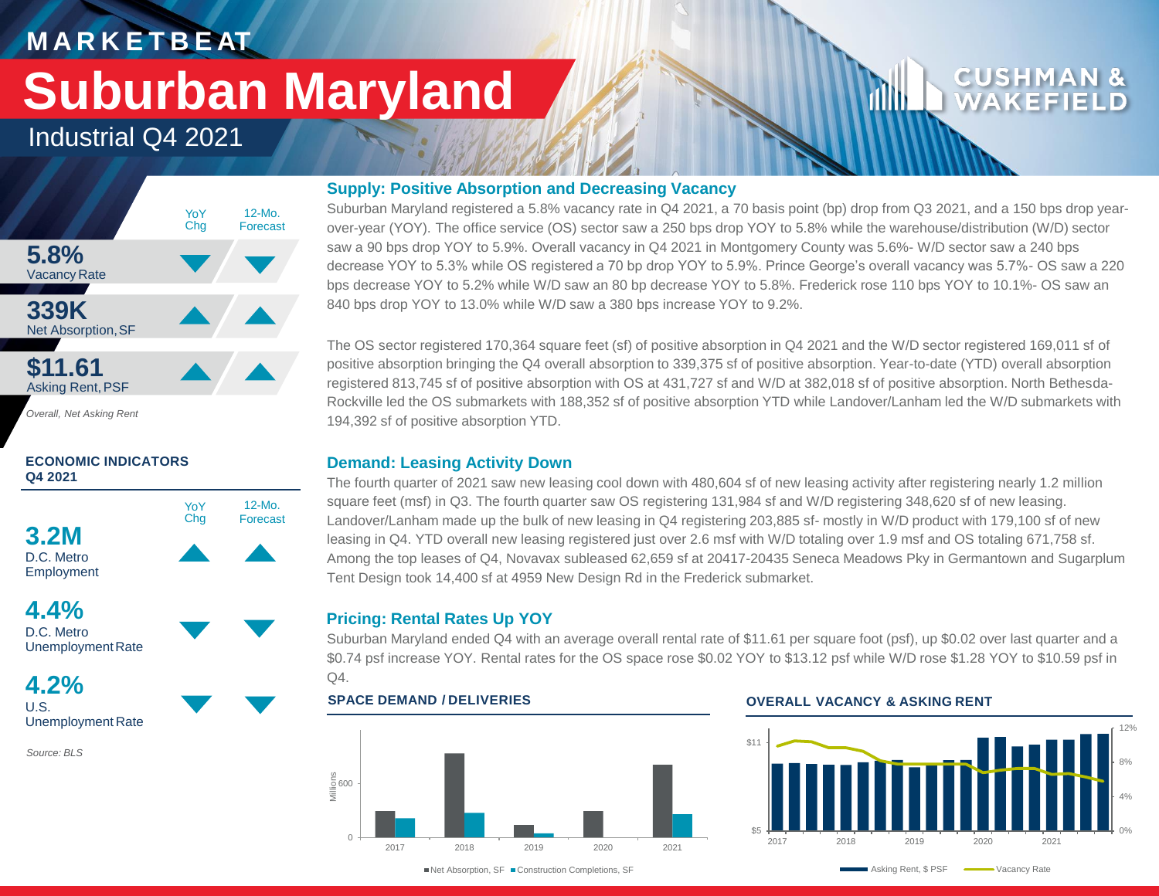## **M A R K E T B E AT**

# **Suburban Maryland**

## Industrial Q4 2021



*Overall, Net Asking Rent*

### **ECONOMIC INDICATORS Q4 2021**





**4.2%** U.S. Unemployment Rate

*Source: BLS*

### **Supply: Positive Absorption and Decreasing Vacancy**

Suburban Maryland registered a 5.8% vacancy rate in Q4 2021, a 70 basis point (bp) drop from Q3 2021, and a 150 bps drop yearover-year (YOY). The office service (OS) sector saw a 250 bps drop YOY to 5.8% while the warehouse/distribution (W/D) sector saw a 90 bps drop YOY to 5.9%. Overall vacancy in Q4 2021 in Montgomery County was 5.6%- W/D sector saw a 240 bps decrease YOY to 5.3% while OS registered a 70 bp drop YOY to 5.9%. Prince George's overall vacancy was 5.7%- OS saw a 220 bps decrease YOY to 5.2% while W/D saw an 80 bp decrease YOY to 5.8%. Frederick rose 110 bps YOY to 10.1%- OS saw an 840 bps drop YOY to 13.0% while W/D saw a 380 bps increase YOY to 9.2%.

The OS sector registered 170,364 square feet (sf) of positive absorption in Q4 2021 and the W/D sector registered 169,011 sf of positive absorption bringing the Q4 overall absorption to 339,375 sf of positive absorption. Year-to-date (YTD) overall absorption registered 813,745 sf of positive absorption with OS at 431,727 sf and W/D at 382,018 sf of positive absorption. North Bethesda-Rockville led the OS submarkets with 188,352 sf of positive absorption YTD while Landover/Lanham led the W/D submarkets with 194,392 sf of positive absorption YTD.

### **Demand: Leasing Activity Down**

The fourth quarter of 2021 saw new leasing cool down with 480,604 sf of new leasing activity after registering nearly 1.2 million square feet (msf) in Q3. The fourth quarter saw OS registering 131,984 sf and W/D registering 348,620 sf of new leasing. Landover/Lanham made up the bulk of new leasing in Q4 registering 203,885 sf- mostly in W/D product with 179,100 sf of new leasing in Q4. YTD overall new leasing registered just over 2.6 msf with W/D totaling over 1.9 msf and OS totaling 671,758 sf. Among the top leases of Q4, Novavax subleased 62,659 sf at 20417-20435 Seneca Meadows Pky in Germantown and Sugarplum Tent Design took 14,400 sf at 4959 New Design Rd in the Frederick submarket.

### **Pricing: Rental Rates Up YOY**

Suburban Maryland ended Q4 with an average overall rental rate of \$11.61 per square foot (psf), up \$0.02 over last quarter and a \$0.74 psf increase YOY. Rental rates for the OS space rose \$0.02 YOY to \$13.12 psf while W/D rose \$1.28 YOY to \$10.59 psf in  $Q4.$ 



### **SPACE DEMAND / DELIVERIES OVERALL VACANCY & ASKING RENT**